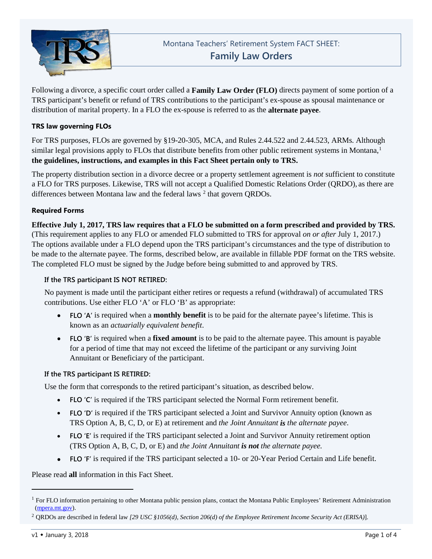

Following a divorce, a specific court order called a **Family Law Order (FLO)** directs payment of some portion of a TRS participant's benefit or refund of TRS contributions to the participant's ex-spouse as spousal maintenance or distribution of marital property. In a FLO the ex-spouse is referred to as the **alternate payee**.

# **TRS law governing FLOs**

For TRS purposes, FLOs are governed by §19-20-305, MCA, and Rules 2.44.522 and 2.44.523, ARMs. Although similar legal provisions apply to FLOs that distribute benefits from other public retirement systems in Montana, [1](#page-0-0) **the guidelines, instructions, and examples in this Fact Sheet pertain only to TRS.**

The property distribution section in a divorce decree or a property settlement agreement is *not* sufficient to constitute a FLO for TRS purposes. Likewise, TRS will not accept a Qualified Domestic Relations Order (QRDO), as there are differences between Montana law and the federal laws  $2$  that govern QRDOs.

# **Required Forms**

**Effective July 1, 2017, TRS law requires that a FLO be submitted on a form prescribed and provided by TRS.** (This requirement applies to any FLO or amended FLO submitted to TRS for approval *on or after* July 1, 2017.) The options available under a FLO depend upon the TRS participant's circumstances and the type of distribution to be made to the alternate payee. The forms, described below, are available in fillable PDF format on the TRS website. The completed FLO must be signed by the Judge before being submitted to and approved by TRS.

## **If the TRS participant IS NOT RETIRED:**

No payment is made until the participant either retires or requests a refund (withdrawal) of accumulated TRS contributions. Use either FLO 'A' or FLO 'B' as appropriate:

- **FLO 'A'** is required when a **monthly benefit** is to be paid for the alternate payee's lifetime. This is known as an *actuarially equivalent benefit*.
- **FLO 'B'** is required when a **fixed amount** is to be paid to the alternate payee. This amount is payable for a period of time that may not exceed the lifetime of the participant or any surviving Joint Annuitant or Beneficiary of the participant.

## **If the TRS participant IS RETIRED:**

Use the form that corresponds to the retired participant's situation, as described below.

- **FLO 'C'** is required if the TRS participant selected the Normal Form retirement benefit.
- **FLO 'D'** is required if the TRS participant selected a Joint and Survivor Annuity option (known as TRS Option A, B, C, D, or E) at retirement and *the Joint Annuitant is the alternate payee*.
- **FLO 'E'** is required if the TRS participant selected a Joint and Survivor Annuity retirement option (TRS Option A, B, C, D, or E) and *the Joint Annuitant is not the alternate payee.*
- **FLO 'F'** is required if the TRS participant selected a 10- or 20-Year Period Certain and Life benefit.

Please read **all** information in this Fact Sheet.

j

<span id="page-0-0"></span> $<sup>1</sup>$  For FLO information pertaining to other Montana public pension plans, contact the Montana Public Employees' Retirement Administration</sup> [\(mpera.mt.gov\)](http://mpera.mt.gov/).

<span id="page-0-1"></span><sup>2</sup> QRDOs are described in federal law *[29 USC §1056(d), Section 206(d) of the Employee Retirement Income Security Act (ERISA)*].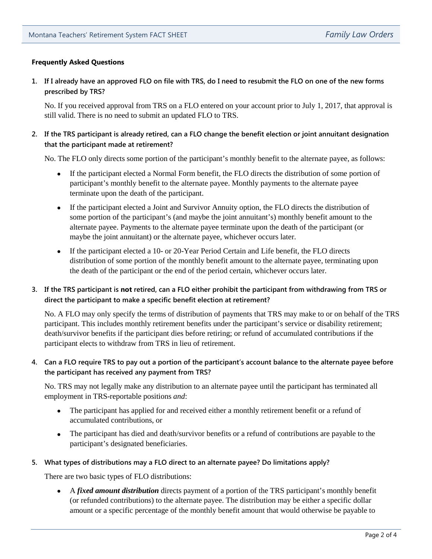# **Frequently Asked Questions**

**1. If I already have an approved FLO on file with TRS, do I need to resubmit the FLO on one of the new forms prescribed by TRS?**

No. If you received approval from TRS on a FLO entered on your account prior to July 1, 2017, that approval is still valid. There is no need to submit an updated FLO to TRS.

# **2. If the TRS participant is already retired, can a FLO change the benefit election or joint annuitant designation that the participant made at retirement?**

No. The FLO only directs some portion of the participant's monthly benefit to the alternate payee, as follows:

- If the participant elected a Normal Form benefit, the FLO directs the distribution of some portion of participant's monthly benefit to the alternate payee. Monthly payments to the alternate payee terminate upon the death of the participant.
- If the participant elected a Joint and Survivor Annuity option, the FLO directs the distribution of some portion of the participant's (and maybe the joint annuitant's) monthly benefit amount to the alternate payee. Payments to the alternate payee terminate upon the death of the participant (or maybe the joint annuitant) or the alternate payee, whichever occurs later.
- If the participant elected a 10- or 20-Year Period Certain and Life benefit, the FLO directs distribution of some portion of the monthly benefit amount to the alternate payee, terminating upon the death of the participant or the end of the period certain, whichever occurs later.

# **3. If the TRS participant is not retired, can a FLO either prohibit the participant from withdrawing from TRS or direct the participant to make a specific benefit election at retirement?**

No. A FLO may only specify the terms of distribution of payments that TRS may make to or on behalf of the TRS participant. This includes monthly retirement benefits under the participant's service or disability retirement; death/survivor benefits if the participant dies before retiring; or refund of accumulated contributions if the participant elects to withdraw from TRS in lieu of retirement.

# **4. Can a FLO require TRS to pay out a portion of the participant's account balance to the alternate payee before the participant has received any payment from TRS?**

No. TRS may not legally make any distribution to an alternate payee until the participant has terminated all employment in TRS-reportable positions *and*:

- The participant has applied for and received either a monthly retirement benefit or a refund of accumulated contributions, or
- The participant has died and death/survivor benefits or a refund of contributions are payable to the participant's designated beneficiaries.

## **5. What types of distributions may a FLO direct to an alternate payee? Do limitations apply?**

There are two basic types of FLO distributions:

• A *fixed amount distribution* directs payment of a portion of the TRS participant's monthly benefit (or refunded contributions) to the alternate payee. The distribution may be either a specific dollar amount or a specific percentage of the monthly benefit amount that would otherwise be payable to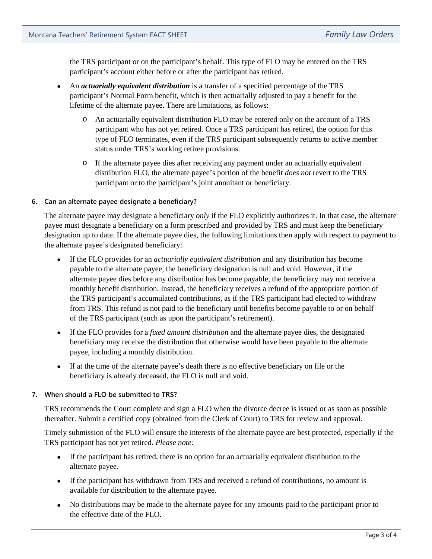the TRS participant or on the participant's behalf. This type of FLO may be entered on the TRS participant's account either before or after the participant has retired.

- An *actuarially equivalent distribution* is a transfer of a specified percentage of the TRS participant's Normal Form benefit, which is then actuarially adjusted to pay a benefit for the lifetime of the alternate payee. There are limitations, as follows:
	- o An actuarially equivalent distribution FLO may be entered only on the account of a TRS participant who has not yet retired. Once a TRS participant has retired, the option for this type of FLO terminates, even if the TRS participant subsequently returns to active member status under TRS's working retiree provisions.
	- o If the alternate payee dies after receiving any payment under an actuarially equivalent distribution FLO, the alternate payee's portion of the benefit *does not* revert to the TRS participant or to the participant's joint annuitant or beneficiary.

## **6. Can an alternate payee designate a beneficiary?**

The alternate payee may designate a beneficiary *only* if the FLO explicitly authorizes it. In that case, the alternate payee must designate a beneficiary on a form prescribed and provided by TRS and must keep the beneficiary designation up to date. If the alternate payee dies, the following limitations then apply with respect to payment to the alternate payee's designated beneficiary:

- If the FLO provides for an *actuarially equivalent distribution* and any distribution has become payable to the alternate payee, the beneficiary designation is null and void. However, if the alternate payee dies before any distribution has become payable, the beneficiary may not receive a monthly benefit distribution. Instead, the beneficiary receives a refund of the appropriate portion of the TRS participant's accumulated contributions, as if the TRS participant had elected to withdraw from TRS. This refund is not paid to the beneficiary until benefits become payable to or on behalf of the TRS participant (such as upon the participant's retirement).
- If the FLO provides for a *fixed amount distribution* and the alternate payee dies, the designated beneficiary may receive the distribution that otherwise would have been payable to the alternate payee, including a monthly distribution.
- If at the time of the alternate payee's death there is no effective beneficiary on file or the beneficiary is already deceased, the FLO is null and void.

## **7. When should a FLO be submitted to TRS?**

TRS recommends the Court complete and sign a FLO when the divorce decree is issued or as soon as possible thereafter. Submit a certified copy (obtained from the Clerk of Court) to TRS for review and approval.

Timely submission of the FLO will ensure the interests of the alternate payee are best protected, especially if the TRS participant has not yet retired. *Please note:*

- If the participant has retired, there is no option for an actuarially equivalent distribution to the alternate payee.
- If the participant has withdrawn from TRS and received a refund of contributions, no amount is available for distribution to the alternate payee.
- No distributions may be made to the alternate payee for any amounts paid to the participant prior to the effective date of the FLO.